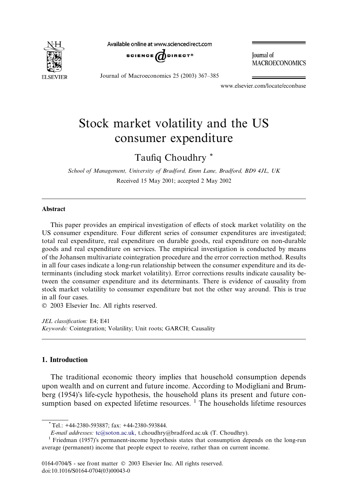

Available online at www.sciencedirect.com



**Journal** of **MACROECONOMICS** 

Journal of Macroeconomics 25 (2003) 367–385

www.elsevier.com/locate/econbase

# Stock market volatility and the US consumer expenditure

Taufiq Choudhry \*

School of Management, University of Bradford, Emm Lane, Bradford, BD9 4JL, UK Received 15 May 2001; accepted 2 May 2002

#### Abstract

This paper provides an empirical investigation of effects of stock market volatility on the US consumer expenditure. Four different series of consumer expenditures are investigated; total real expenditure, real expenditure on durable goods, real expenditure on non-durable goods and real expenditure on services. The empirical investigation is conducted by means of the Johansen multivariate cointegration procedure and the error correction method. Results in all four cases indicate a long-run relationship between the consumer expenditure and its determinants (including stock market volatility). Error corrections results indicate causality between the consumer expenditure and its determinants. There is evidence of causality from stock market volatility to consumer expenditure but not the other way around. This is true in all four cases.

2003 Elsevier Inc. All rights reserved.

JEL classification: E4; E41 Keywords: Cointegration; Volatility; Unit roots; GARCH; Causality

### 1. Introduction

The traditional economic theory implies that household consumption depends upon wealth and on current and future income. According to Modigliani and Brumberg (1954)'s life-cycle hypothesis, the household plans its present and future consumption based on expected lifetime resources.  $<sup>1</sup>$  The households lifetime resources</sup>

<sup>\*</sup>Tel.: +44-2380-593887; fax: +44-2380-593844.

E-mail addresses: [tc@soton.ac.uk,](mail to: tc@soton.ac.uk,) t.choudhry@bradford.ac.uk (T. Choudhry).<br><sup>1</sup> Friedman (1957)'s permanent-income hypothesis states that consumption depends on the long-run average (permanent) income that people expect to receive, rather than on current income.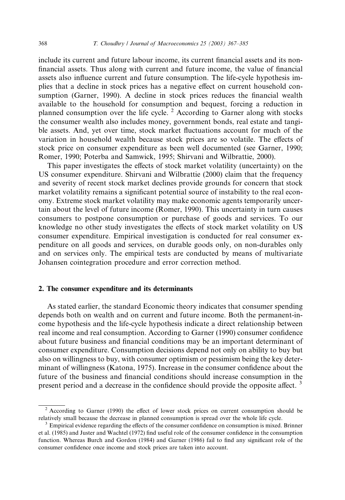include its current and future labour income, its current financial assets and its nonfinancial assets. Thus along with current and future income, the value of financial assets also influence current and future consumption. The life-cycle hypothesis implies that a decline in stock prices has a negative effect on current household consumption (Garner, 1990). A decline in stock prices reduces the financial wealth available to the household for consumption and bequest, forcing a reduction in planned consumption over the life cycle. <sup>2</sup> According to Garner along with stocks the consumer wealth also includes money, government bonds, real estate and tangible assets. And, yet over time, stock market fluctuations account for much of the variation in household wealth because stock prices are so volatile. The effects of stock price on consumer expenditure as been well documented (see Garner, 1990; Romer, 1990; Poterba and Samwick, 1995; Shirvani and Wilbrattie, 2000).

This paper investigates the effects of stock market volatility (uncertainty) on the US consumer expenditure. Shirvani and Wilbrattie (2000) claim that the frequency and severity of recent stock market declines provide grounds for concern that stock market volatility remains a significant potential source of instability to the real economy. Extreme stock market volatility may make economic agents temporarily uncertain about the level of future income (Romer, 1990). This uncertainty in turn causes consumers to postpone consumption or purchase of goods and services. To our knowledge no other study investigates the effects of stock market volatility on US consumer expenditure. Empirical investigation is conducted for real consumer expenditure on all goods and services, on durable goods only, on non-durables only and on services only. The empirical tests are conducted by means of multivariate Johansen cointegration procedure and error correction method.

### 2. The consumer expenditure and its determinants

As stated earlier, the standard Economic theory indicates that consumer spending depends both on wealth and on current and future income. Both the permanent-income hypothesis and the life-cycle hypothesis indicate a direct relationship between real income and real consumption. According to Garner (1990) consumer confidence about future business and financial conditions may be an important determinant of consumer expenditure. Consumption decisions depend not only on ability to buy but also on willingness to buy, with consumer optimism or pessimism being the key determinant of willingness (Katona, 1975). Increase in the consumer confidence about the future of the business and financial conditions should increase consumption in the present period and a decrease in the confidence should provide the opposite affect.<sup>3</sup>

 $2$  According to Garner (1990) the effect of lower stock prices on current consumption should be relatively small because the decrease in planned consumption is spread over the whole life cycle. <sup>3</sup> Empirical evidence regarding the effects of the consumer confidence on consumption is mixed. Brinner

et al. (1985) and Juster and Wachtel (1972) find useful role of the consumer confidence in the consumption function. Whereas Burch and Gordon (1984) and Garner (1986) fail to find any significant role of the consumer confidence once income and stock prices are taken into account.